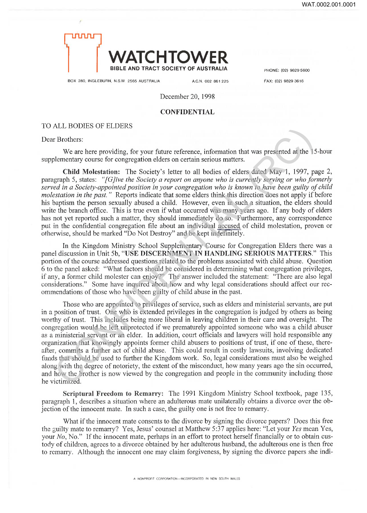

BOX 280, INGLEBURN, N.S.W. 2565 AUSTRALIA A.C.N. 002 861 225 FAX: (02) 9829 3616

December 20, 1998

## **CONFIDENTIAL**

## TO ALL BODIES OF ELDERS

Dear Brothers:

We are here providing, for your future reference, information that was presented at the 15-hour supplementary course for congregation elders on certain serious matters.

**Child Molestation:** The Society's letter to all bodies of elders dated May 1, 1997, page 2, paragraph 5, states: *"[GJive the Society a report on anyone who is currently serving or who formerly served in a Society-appointed position in your congregation who is known to have been guilty of child molestation in the past.*" Reports indicate that some elders think this direction does not apply if before his baptism the person sexually abused a child. However, even in such a situation, the elders should write the branch office. This is true even if what occurred was many years ago. If any body of elders has not yet reported such a matter, they should immediately do so. Furthermore, any correspondence put in the confidential congregation file about an individual accused of child molestation, proven or otherwise, should be marked "Do Not Destroy" and be kept indefinitely.

In the Kingdom Ministry School Supplementary Course for Congregation Elders there was a panel discussion in Unit 5b, **"USE DISCERNMENT IN HANDLING SERIOUS MATTERS."** This portion of the course addressed questions related to the problems associated with child abuse. Question 6 to the panel asked: "What factors should be considered in determining what congregation privileges, if any, a former child molester can enjoy?" The answer included the statement: "There are also legal considerations." Some have inquired about how and why legal considerations should affect our recommendations of those who have been guilty of child abuse in the past.

Those who are appointed to privileges of service, such as elders and ministerial servants, are put in a position of trust. One who is extended privileges in the congregation is judged by others as being worthy of trust. This includes being more liberal in leaving children in their care and oversight. The congregation would be left unprotected if we prematurely appointed someone who was a child abuser as a ministerial servant or an elder. In addition, court officials and lawyers will hold responsible any organization that knowingly appoints former child abusers to positions of trust, if one of these, thereafter, commits a further act of child abuse. This could result in costly lawsuits, involving dedicated funds that should be used to further the Kingdom work. So, legal considerations must also be weighed along with the degree of notoriety, the extent of the misconduct, how many years ago the sin occurred, and how the brother is now viewed by the congregation and people in the community including those he victimized. ALL BODIES OF ELDENSS<br>
TROMEST:<br>
TROMEST:<br>
We are here providing, for your future reference, information that was presented at the 15<br>
blementary course for congregation elders on certain serious matters.<br>
Child Molestati

**Scriptural Freedom to Remarry:** The 1991 Kingdom Ministry School textbook, page 135, paragraph 1, describes a situation where an adulterous mate unilaterally obtains a divorce over the objection of the innocent mate. In such a case, the guilty one is not free to remarry.

What if the innocent mate consents to the divorce by signing the divorce papers? Does this free the guilty mate to remarry? Yes, Jesus' counsel at Matthew 5:37 applies here: "Let your *Yes* mean Yes, your *No,* No." If the innocent mate, perhaps in an effort to protect herself financially or to obtain custody of children, agrees to a divorce obtained by her adulterous husband, the adulterous one is then free to remarry. Although the innocent one may claim forgiveness, by signing the divorce papers she indi